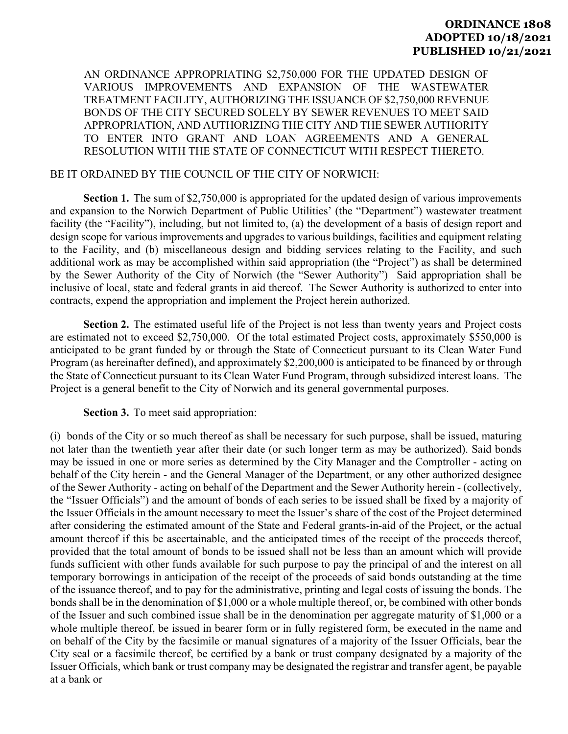## **ORDINANCE 1808 ADOPTED 10/18/2021 PUBLISHED 10/21/2021**

AN ORDINANCE APPROPRIATING \$2,750,000 FOR THE UPDATED DESIGN OF VARIOUS IMPROVEMENTS AND EXPANSION OF THE WASTEWATER TREATMENT FACILITY, AUTHORIZING THE ISSUANCE OF \$2,750,000 REVENUE BONDS OF THE CITY SECURED SOLELY BY SEWER REVENUES TO MEET SAID APPROPRIATION, AND AUTHORIZING THE CITY AND THE SEWER AUTHORITY TO ENTER INTO GRANT AND LOAN AGREEMENTS AND A GENERAL RESOLUTION WITH THE STATE OF CONNECTICUT WITH RESPECT THERETO.

## BE IT ORDAINED BY THE COUNCIL OF THE CITY OF NORWICH:

**Section 1.** The sum of \$2,750,000 is appropriated for the updated design of various improvements and expansion to the Norwich Department of Public Utilities' (the "Department") wastewater treatment facility (the "Facility"), including, but not limited to, (a) the development of a basis of design report and design scope for various improvements and upgrades to various buildings, facilities and equipment relating to the Facility, and (b) miscellaneous design and bidding services relating to the Facility, and such additional work as may be accomplished within said appropriation (the "Project") as shall be determined by the Sewer Authority of the City of Norwich (the "Sewer Authority") Said appropriation shall be inclusive of local, state and federal grants in aid thereof. The Sewer Authority is authorized to enter into contracts, expend the appropriation and implement the Project herein authorized.

**Section 2.** The estimated useful life of the Project is not less than twenty years and Project costs are estimated not to exceed \$2,750,000. Of the total estimated Project costs, approximately \$550,000 is anticipated to be grant funded by or through the State of Connecticut pursuant to its Clean Water Fund Program (as hereinafter defined), and approximately \$2,200,000 is anticipated to be financed by or through the State of Connecticut pursuant to its Clean Water Fund Program, through subsidized interest loans. The Project is a general benefit to the City of Norwich and its general governmental purposes.

## **Section 3.** To meet said appropriation:

(i) bonds of the City or so much thereof as shall be necessary for such purpose, shall be issued, maturing not later than the twentieth year after their date (or such longer term as may be authorized). Said bonds may be issued in one or more series as determined by the City Manager and the Comptroller - acting on behalf of the City herein - and the General Manager of the Department, or any other authorized designee of the Sewer Authority - acting on behalf of the Department and the Sewer Authority herein - (collectively, the "Issuer Officials") and the amount of bonds of each series to be issued shall be fixed by a majority of the Issuer Officials in the amount necessary to meet the Issuer's share of the cost of the Project determined after considering the estimated amount of the State and Federal grants-in-aid of the Project, or the actual amount thereof if this be ascertainable, and the anticipated times of the receipt of the proceeds thereof, provided that the total amount of bonds to be issued shall not be less than an amount which will provide funds sufficient with other funds available for such purpose to pay the principal of and the interest on all temporary borrowings in anticipation of the receipt of the proceeds of said bonds outstanding at the time of the issuance thereof, and to pay for the administrative, printing and legal costs of issuing the bonds. The bonds shall be in the denomination of \$1,000 or a whole multiple thereof, or, be combined with other bonds of the Issuer and such combined issue shall be in the denomination per aggregate maturity of \$1,000 or a whole multiple thereof, be issued in bearer form or in fully registered form, be executed in the name and on behalf of the City by the facsimile or manual signatures of a majority of the Issuer Officials, bear the City seal or a facsimile thereof, be certified by a bank or trust company designated by a majority of the Issuer Officials, which bank or trust company may be designated the registrar and transfer agent, be payable at a bank or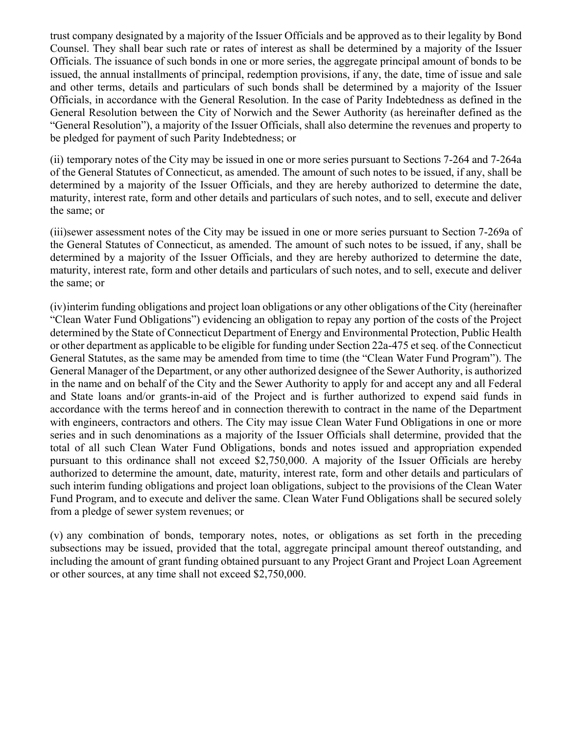trust company designated by a majority of the Issuer Officials and be approved as to their legality by Bond Counsel. They shall bear such rate or rates of interest as shall be determined by a majority of the Issuer Officials. The issuance of such bonds in one or more series, the aggregate principal amount of bonds to be issued, the annual installments of principal, redemption provisions, if any, the date, time of issue and sale and other terms, details and particulars of such bonds shall be determined by a majority of the Issuer Officials, in accordance with the General Resolution. In the case of Parity Indebtedness as defined in the General Resolution between the City of Norwich and the Sewer Authority (as hereinafter defined as the "General Resolution"), a majority of the Issuer Officials, shall also determine the revenues and property to be pledged for payment of such Parity Indebtedness; or

(ii) temporary notes of the City may be issued in one or more series pursuant to Sections 7-264 and 7-264a of the General Statutes of Connecticut, as amended. The amount of such notes to be issued, if any, shall be determined by a majority of the Issuer Officials, and they are hereby authorized to determine the date, maturity, interest rate, form and other details and particulars of such notes, and to sell, execute and deliver the same; or

(iii)sewer assessment notes of the City may be issued in one or more series pursuant to Section 7-269a of the General Statutes of Connecticut, as amended. The amount of such notes to be issued, if any, shall be determined by a majority of the Issuer Officials, and they are hereby authorized to determine the date, maturity, interest rate, form and other details and particulars of such notes, and to sell, execute and deliver the same; or

(iv) interim funding obligations and project loan obligations or any other obligations of the City (hereinafter "Clean Water Fund Obligations") evidencing an obligation to repay any portion of the costs of the Project determined by the State of Connecticut Department of Energy and Environmental Protection, Public Health or other department as applicable to be eligible for funding under Section 22a-475 et seq. of the Connecticut General Statutes, as the same may be amended from time to time (the "Clean Water Fund Program"). The General Manager of the Department, or any other authorized designee of the Sewer Authority, is authorized in the name and on behalf of the City and the Sewer Authority to apply for and accept any and all Federal and State loans and/or grants-in-aid of the Project and is further authorized to expend said funds in accordance with the terms hereof and in connection therewith to contract in the name of the Department with engineers, contractors and others. The City may issue Clean Water Fund Obligations in one or more series and in such denominations as a majority of the Issuer Officials shall determine, provided that the total of all such Clean Water Fund Obligations, bonds and notes issued and appropriation expended pursuant to this ordinance shall not exceed \$2,750,000. A majority of the Issuer Officials are hereby authorized to determine the amount, date, maturity, interest rate, form and other details and particulars of such interim funding obligations and project loan obligations, subject to the provisions of the Clean Water Fund Program, and to execute and deliver the same. Clean Water Fund Obligations shall be secured solely from a pledge of sewer system revenues; or

(v) any combination of bonds, temporary notes, notes, or obligations as set forth in the preceding subsections may be issued, provided that the total, aggregate principal amount thereof outstanding, and including the amount of grant funding obtained pursuant to any Project Grant and Project Loan Agreement or other sources, at any time shall not exceed \$2,750,000.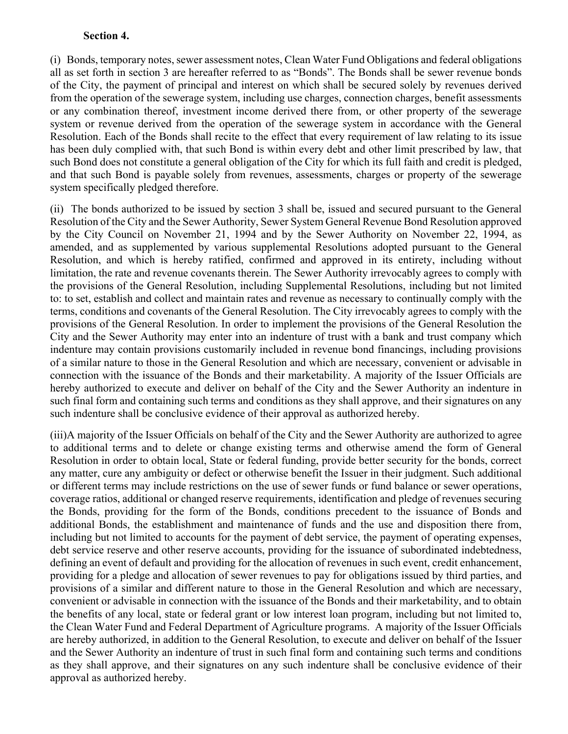## **Section 4.**

(i) Bonds, temporary notes, sewer assessment notes, Clean Water Fund Obligations and federal obligations all as set forth in section 3 are hereafter referred to as "Bonds". The Bonds shall be sewer revenue bonds of the City, the payment of principal and interest on which shall be secured solely by revenues derived from the operation of the sewerage system, including use charges, connection charges, benefit assessments or any combination thereof, investment income derived there from, or other property of the sewerage system or revenue derived from the operation of the sewerage system in accordance with the General Resolution. Each of the Bonds shall recite to the effect that every requirement of law relating to its issue has been duly complied with, that such Bond is within every debt and other limit prescribed by law, that such Bond does not constitute a general obligation of the City for which its full faith and credit is pledged, and that such Bond is payable solely from revenues, assessments, charges or property of the sewerage system specifically pledged therefore.

(ii) The bonds authorized to be issued by section 3 shall be, issued and secured pursuant to the General Resolution of the City and the Sewer Authority, Sewer System General Revenue Bond Resolution approved by the City Council on November 21, 1994 and by the Sewer Authority on November 22, 1994, as amended, and as supplemented by various supplemental Resolutions adopted pursuant to the General Resolution, and which is hereby ratified, confirmed and approved in its entirety, including without limitation, the rate and revenue covenants therein. The Sewer Authority irrevocably agrees to comply with the provisions of the General Resolution, including Supplemental Resolutions, including but not limited to: to set, establish and collect and maintain rates and revenue as necessary to continually comply with the terms, conditions and covenants of the General Resolution. The City irrevocably agrees to comply with the provisions of the General Resolution. In order to implement the provisions of the General Resolution the City and the Sewer Authority may enter into an indenture of trust with a bank and trust company which indenture may contain provisions customarily included in revenue bond financings, including provisions of a similar nature to those in the General Resolution and which are necessary, convenient or advisable in connection with the issuance of the Bonds and their marketability. A majority of the Issuer Officials are hereby authorized to execute and deliver on behalf of the City and the Sewer Authority an indenture in such final form and containing such terms and conditions as they shall approve, and their signatures on any such indenture shall be conclusive evidence of their approval as authorized hereby.

(iii)A majority of the Issuer Officials on behalf of the City and the Sewer Authority are authorized to agree to additional terms and to delete or change existing terms and otherwise amend the form of General Resolution in order to obtain local, State or federal funding, provide better security for the bonds, correct any matter, cure any ambiguity or defect or otherwise benefit the Issuer in their judgment. Such additional or different terms may include restrictions on the use of sewer funds or fund balance or sewer operations, coverage ratios, additional or changed reserve requirements, identification and pledge of revenues securing the Bonds, providing for the form of the Bonds, conditions precedent to the issuance of Bonds and additional Bonds, the establishment and maintenance of funds and the use and disposition there from, including but not limited to accounts for the payment of debt service, the payment of operating expenses, debt service reserve and other reserve accounts, providing for the issuance of subordinated indebtedness, defining an event of default and providing for the allocation of revenues in such event, credit enhancement, providing for a pledge and allocation of sewer revenues to pay for obligations issued by third parties, and provisions of a similar and different nature to those in the General Resolution and which are necessary, convenient or advisable in connection with the issuance of the Bonds and their marketability, and to obtain the benefits of any local, state or federal grant or low interest loan program, including but not limited to, the Clean Water Fund and Federal Department of Agriculture programs. A majority of the Issuer Officials are hereby authorized, in addition to the General Resolution, to execute and deliver on behalf of the Issuer and the Sewer Authority an indenture of trust in such final form and containing such terms and conditions as they shall approve, and their signatures on any such indenture shall be conclusive evidence of their approval as authorized hereby.